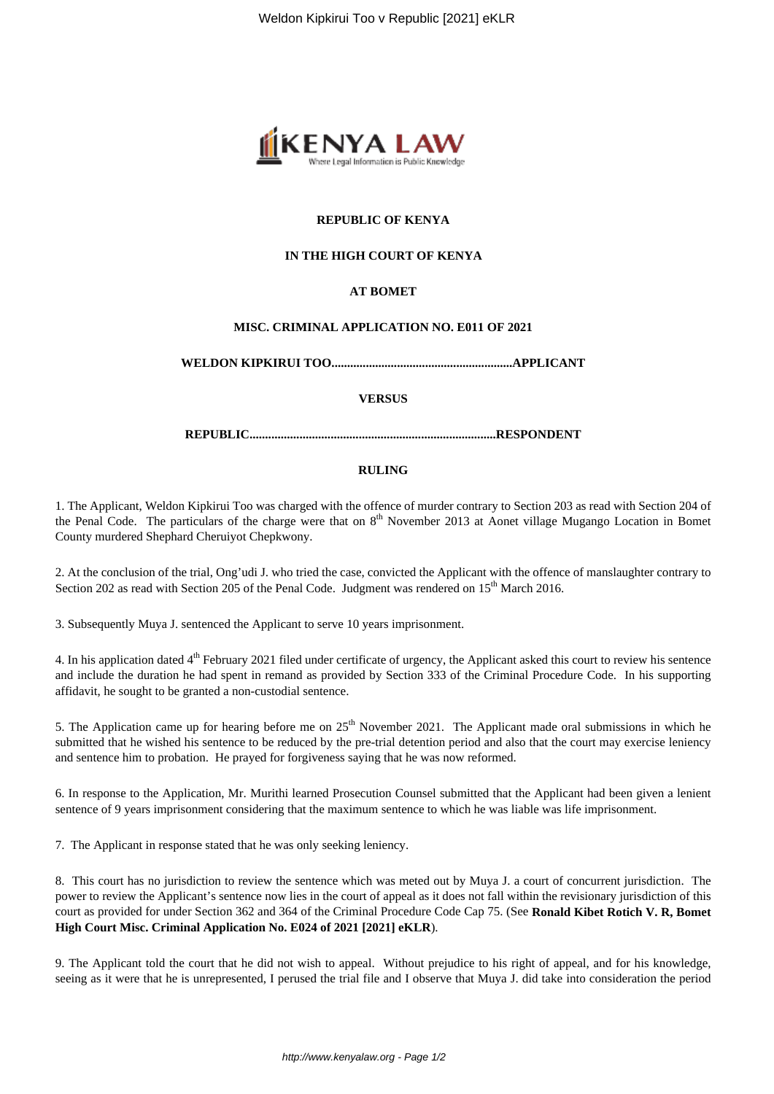

# **REPUBLIC OF KENYA**

# **IN THE HIGH COURT OF KENYA**

# **AT BOMET**

# **MISC. CRIMINAL APPLICATION NO. E011 OF 2021**

**WELDON KIPKIRUI TOO..........................................................APPLICANT**

### **VERSUS**

**REPUBLIC...............................................................................RESPONDENT**

### **RULING**

1. The Applicant, Weldon Kipkirui Too was charged with the offence of murder contrary to Section 203 as read with Section 204 of the Penal Code. The particulars of the charge were that on  $8<sup>th</sup>$  November 2013 at Aonet village Mugango Location in Bomet County murdered Shephard Cheruiyot Chepkwony.

2. At the conclusion of the trial, Ong'udi J. who tried the case, convicted the Applicant with the offence of manslaughter contrary to Section 202 as read with Section 205 of the Penal Code. Judgment was rendered on 15<sup>th</sup> March 2016.

3. Subsequently Muya J. sentenced the Applicant to serve 10 years imprisonment.

4. In his application dated 4<sup>th</sup> February 2021 filed under certificate of urgency, the Applicant asked this court to review his sentence and include the duration he had spent in remand as provided by Section 333 of the Criminal Procedure Code. In his supporting affidavit, he sought to be granted a non-custodial sentence.

5. The Application came up for hearing before me on 25<sup>th</sup> November 2021. The Applicant made oral submissions in which he submitted that he wished his sentence to be reduced by the pre-trial detention period and also that the court may exercise leniency and sentence him to probation. He prayed for forgiveness saying that he was now reformed.

6. In response to the Application, Mr. Murithi learned Prosecution Counsel submitted that the Applicant had been given a lenient sentence of 9 years imprisonment considering that the maximum sentence to which he was liable was life imprisonment.

7. The Applicant in response stated that he was only seeking leniency.

8. This court has no jurisdiction to review the sentence which was meted out by Muya J. a court of concurrent jurisdiction. The power to review the Applicant's sentence now lies in the court of appeal as it does not fall within the revisionary jurisdiction of this court as provided for under Section 362 and 364 of the Criminal Procedure Code Cap 75. (See **Ronald Kibet Rotich V. R, Bomet High Court Misc. Criminal Application No. E024 of 2021 [2021] eKLR**).

9. The Applicant told the court that he did not wish to appeal. Without prejudice to his right of appeal, and for his knowledge, seeing as it were that he is unrepresented, I perused the trial file and I observe that Muya J. did take into consideration the period